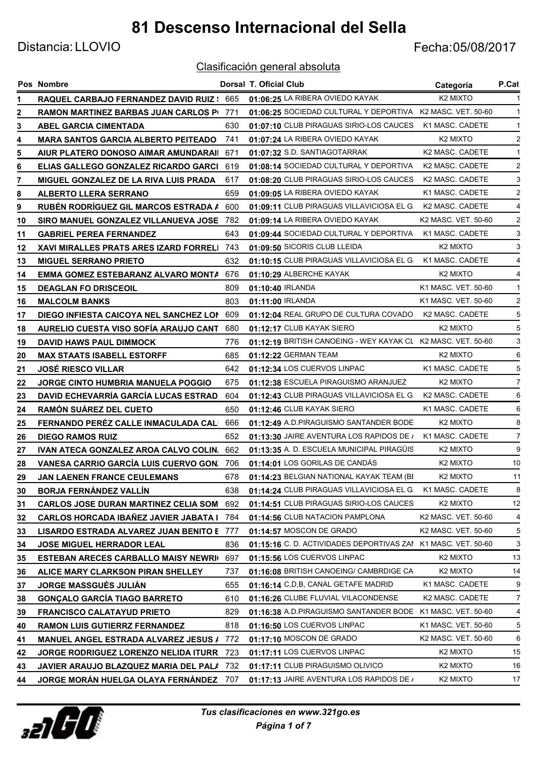Distancia: LLOVIO Fecha:05/08/2017

|    | Pos Nombre                                       |     | Dorsal T. Oficial Club                                       | Categoría            | P.Cat          |
|----|--------------------------------------------------|-----|--------------------------------------------------------------|----------------------|----------------|
|    | <b>RAQUEL CARBAJO FERNANDEZ DAVID RUIZ : 665</b> |     | 01:06:25 LA RIBERA OVIEDO KAYAK                              | K <sub>2</sub> MIXTO |                |
| 2  | <b>RAMON MARTINEZ BARBAS JUAN CARLOS PI 771</b>  |     | 01:06:25 SOCIEDAD CULTURAL Y DEPORTIVA K2 MASC. VET. 50-60   |                      |                |
| 3  | ABEL GARCIA CIMENTADA                            | 630 | 01:07:10 CLUB PIRAGUAS SIRIO-LOS CAUCES                      | K1 MASC. CADETE      |                |
| 4  | <b>MARA SANTOS GARCIA ALBERTO PEITEADO</b>       | 741 | 01:07:24 LA RIBERA OVIEDO KAYAK                              | K <sub>2</sub> MIXTO | 2              |
| 5  | AIUR PLATERO DONOSO AIMAR AMUNDARAII             | 671 | 01:07:32 S.D. SANTIAGOTARRAK                                 | K2 MASC. CADETE      |                |
| 6  | ELIAS GALLEGO GONZALEZ RICARDO GARCI             | 619 | 01:08:14 SOCIEDAD CULTURAL Y DEPORTIVA                       | K2 MASC. CADETE      | 2              |
| 7  | <b>MIGUEL GONZALEZ DE LA RIVA LUIS PRADA '</b>   | 617 | 01:08:20 CLUB PIRAGUAS SIRIO-LOS CAUCES                      | K2 MASC. CADETE      | 3              |
| 8  | <b>ALBERTO LLERA SERRANO</b>                     | 659 | 01:09:05 LA RIBERA OVIEDO KAYAK                              | K1 MASC. CADETE      | 2              |
| 9  | RUBÉN RODRÍGUEZ GIL MARCOS ESTRADA A             | 600 | 01:09:11 CLUB PIRAGUAS VILLAVICIOSA EL G.                    | K2 MASC, CADETE      | 4              |
| 10 | SIRO MANUEL GONZALEZ VILLANUEVA JOSE             | 782 | 01:09:14 LA RIBERA OVIEDO KAYAK                              | K2 MASC. VET. 50-60  | 2              |
| 11 | <b>GABRIEL PEREA FERNANDEZ</b>                   | 643 | 01:09:44 SOCIEDAD CULTURAL Y DEPORTIVA                       | K1 MASC. CADETE      | 3              |
| 12 | <b>XAVI MIRALLES PRATS ARES IZARD FORRELI</b>    | 743 | 01:09:50 SICORIS CLUB LLEIDA                                 | K <sub>2</sub> MIXTO | 3              |
| 13 | <b>MIGUEL SERRANO PRIETO</b>                     | 632 | 01:10:15 CLUB PIRAGUAS VILLAVICIOSA EL G.                    | K1 MASC. CADETE      | 4              |
| 14 | EMMA GOMEZ ESTEBARANZ ALVARO MONTA               | 676 | 01:10:29 ALBERCHE KAYAK                                      | K <sub>2</sub> MIXTO | 4              |
| 15 | <b>DEAGLAN FO DRISCEOIL</b>                      | 809 | 01:10:40 IRLANDA                                             | K1 MASC. VET. 50-60  |                |
| 16 | <b>MALCOLM BANKS</b>                             | 803 | 01:11:00 IRLANDA                                             | K1 MASC. VET. 50-60  | 2              |
| 17 | DIEGO INFIESTA CAICOYA NEL SANCHEZ LON           | 609 | 01:12:04 REAL GRUPO DE CULTURA COVADO                        | K2 MASC, CADETE      | 5              |
| 18 | AURELIO CUESTA VISO SOFÍA ARAUJO CANT            | 680 | 01:12:17 CLUB KAYAK SIERO                                    | K <sub>2</sub> MIXTO | 5              |
| 19 | <b>DAVID HAWS PAUL DIMMOCK</b>                   | 776 | 01:12:19 BRITISH CANOEING - WEY KAYAK CL K2 MASC. VET. 50-60 |                      | 3              |
| 20 | <b>MAX STAATS ISABELL ESTORFF</b>                | 685 | 01:12:22 GERMAN TEAM                                         | K <sub>2</sub> MIXTO | 6              |
| 21 | <b>JOSÉ RIESCO VILLAR</b>                        | 642 | 01:12:34 LOS CUERVOS LINPAC                                  | K1 MASC. CADETE      | 5              |
| 22 | <b>JORGE CINTO HUMBRIA MANUELA POGGIO</b>        | 675 | 01:12:38 ESCUELA PIRAGUISMO ARANJUEZ                         | K <sub>2</sub> MIXTO | $\overline{7}$ |
| 23 | <b>DAVID ECHEVARRÍA GARCÍA LUCAS ESTRAD.</b>     | 604 | 01:12:43 CLUB PIRAGUAS VILLAVICIOSA EL G.                    | K2 MASC. CADETE      | 6              |
| 24 | <b>RAMÓN SUAREZ DEL CUETO</b>                    | 650 | 01:12:46 CLUB KAYAK SIERO                                    | K1 MASC. CADETE      | 6              |
| 25 | FERNANDO PERÉZ CALLE INMACULADA CALI             | 666 | 01:12:49 A.D.PIRAGUISMO SANTANDER BODE                       | K <sub>2</sub> MIXTO | 8              |
| 26 | <b>DIEGO RAMOS RUIZ</b>                          | 652 | 01:13:30 JAIRE AVENTURA LOS RAPIDOS DE /                     | K1 MASC. CADETE      | $\overline{7}$ |
| 27 | IVAN ATECA GONZALEZ AROA CALVO COLIN.            | 662 | 01:13:35 A. D. ESCUELA MUNICIPAL PIRAGÜIS                    | K <sub>2</sub> MIXTO | 9              |
| 28 | <b>VANESA CARRIO GARCÍA LUIS CUERVO GON.</b>     | 706 | 01:14:01 LOS GORILAS DE CANDÁS                               | K <sub>2</sub> MIXTO | 10             |
| 29 | JAN LAENEN FRANCE CEULEMANS                      | 678 | 01:14:23 BELGIAN NATIONAL KAYAK TEAM (BI                     | K2 MIXTO             | 11             |
| 30 | BORJA FERNÁNDEZ VALLÍN                           | 638 | 01:14:24 CLUB PIRAGUAS VILLAVICIOSA EL G.                    | K1 MASC. CADETE      | 8              |
| 31 | <b>CARLOS JOSE DURAN MARTINEZ CELIA SOM</b>      | 692 | 01:14:51 CLUB PIRAGUAS SIRIO-LOS CAUCES                      | K <sub>2</sub> MIXTO | 12             |
| 32 | <b>CARLOS HORCADA IBAÑEZ JAVIER JABATA I</b>     | 784 | 01:14:56 CLUB NATACION PAMPLONA                              | K2 MASC. VET. 50-60  | 4              |
| 33 | LISARDO ESTRADA ALVAREZ JUAN BENITO E            | 777 | 01:14:57 MOSCON DE GRADO                                     | K2 MASC. VET. 50-60  | 5              |
| 34 | JOSE MIGUEL HERRADOR LEAL                        | 836 | 01:15:16 C.D. ACTIVIDADES DEPORTIVAS ZAI K1 MASC. VET. 50-60 |                      | 3              |
| 35 | <b>ESTEBAN ARECES CARBALLO MAISY NEWRIL</b>      | 697 | 01:15:56 LOS CUERVOS LINPAC                                  | K <sub>2</sub> MIXTO | 13             |
| 36 | ALICE MARY CLARKSON PIRAN SHELLEY                | 737 | 01:16:08 BRITISH CANOEING/ CAMBRDIGE CA                      | K <sub>2</sub> MIXTO | 14             |
| 37 | <b>JORGE MASSGUÉS JULIÁN</b>                     | 655 | 01:16:14 C,D,B, CANAL GETAFE MADRID                          | K1 MASC. CADETE      | 9              |
| 38 | <b>GONÇALO GARCÍA TIAGO BARRETO</b>              | 610 | 01:16:26 CLUBE FLUVIAL VILACONDENSE                          | K2 MASC. CADETE      | 7              |
| 39 | <b>FRANCISCO CALATAYUD PRIETO</b>                | 829 | 01:16:38 A.D.PIRAGUISMO SANTANDER BODE K1 MASC. VET. 50-60   |                      | 4              |
| 40 | <b>RAMON LUIS GUTIERRZ FERNANDEZ</b>             | 818 | 01:16:50 LOS CUERVOS LINPAC                                  | K1 MASC. VET. 50-60  | 5              |
| 41 | <b>MANUEL ANGEL ESTRADA ALVAREZ JESUS /</b>      | 772 | 01:17:10 MOSCON DE GRADO                                     | K2 MASC. VET. 50-60  | 6              |
| 42 | JORGE RODRIGUEZ LORENZO NELIDA ITURR             | 723 | 01:17:11 LOS CUERVOS LINPAC                                  | K <sub>2</sub> MIXTO | 15             |
| 43 | JAVIER ARAUJO BLAZQUEZ MARIA DEL PALA            | 732 | 01:17:11 CLUB PIRAGUISMO OLIVICO                             | K2 MIXTO             | 16             |
| 44 | JORGE MORÁN HUELGA OLAYA FERNÁNDEZ               | 707 | 01:17:13 JAIRE AVENTURA LOS RAPIDOS DE /                     | K <sub>2</sub> MIXTO | 17             |

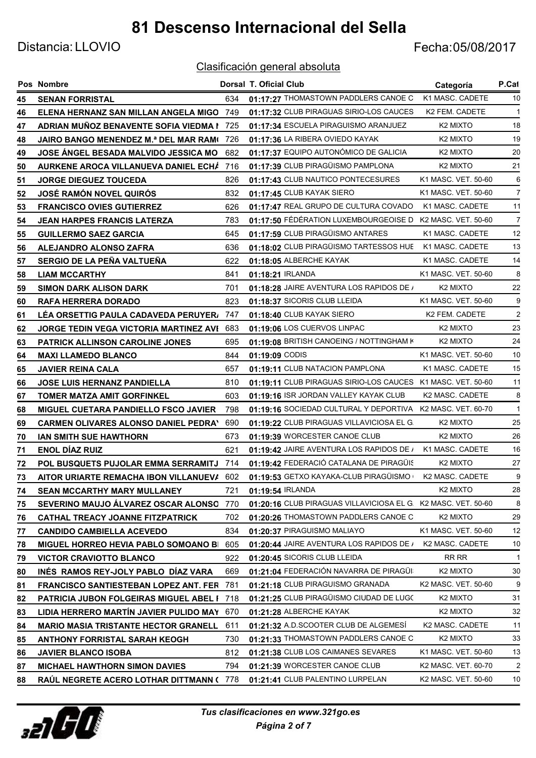Distancia: LLOVIO Fecha:05/08/2017

|    | Pos Nombre                                   |     | Dorsal T. Oficial Club                                        | Categoría            | P.Cat          |
|----|----------------------------------------------|-----|---------------------------------------------------------------|----------------------|----------------|
| 45 | <b>SENAN FORRISTAL</b>                       | 634 | 01:17:27 THOMASTOWN PADDLERS CANOE C                          | K1 MASC. CADETE      | 10             |
| 46 | ELENA HERNANZ SAN MILLAN ANGELA MIGO         | 749 | 01:17:32 CLUB PIRAGUAS SIRIO-LOS CAUCES                       | K2 FEM. CADETE       | -1             |
| 47 | ADRIAN MUÑOZ BENAVENTE SOFIA VIEDMA I        | 725 | 01:17:34 ESCUELA PIRAGUISMO ARANJUEZ                          | K <sub>2</sub> MIXTO | 18             |
| 48 | JAIRO BANGO MENENDEZ M.ª DEL MAR RAM(        | 726 | 01:17:36 LA RIBERA OVIEDO KAYAK                               | K <sub>2</sub> MIXTO | 19             |
| 49 | JOSE ANGEL BESADA MALVIDO JESSICA MO         | 682 | 01:17:37 EQUIPO AUTONÓMICO DE GALICIA                         | K <sub>2</sub> MIXTO | 20             |
| 50 | AURKENE AROCA VILLANUEVA DANIEL ECHÁ         | 716 | 01:17:39 CLUB PIRAGÜISMO PAMPLONA                             | K <sub>2</sub> MIXTO | 21             |
| 51 | <b>JORGE DIEGUEZ TOUCEDA</b>                 | 826 | 01:17:43 CLUB NAUTICO PONTECESURES                            | K1 MASC. VET. 50-60  | 6              |
| 52 | <b>JOSÉ RAMÓN NOVEL QUIRÓS</b>               | 832 | 01:17:45 CLUB KAYAK SIERO                                     | K1 MASC. VET. 50-60  | 7              |
| 53 | <b>FRANCISCO OVIES GUTIERREZ</b>             | 626 | 01:17:47 REAL GRUPO DE CULTURA COVADO                         | K1 MASC. CADETE      | 11             |
| 54 | <b>JEAN HARPES FRANCIS LATERZA</b>           | 783 | 01:17:50 FÉDÉRATION LUXEMBOURGEOISE D K2 MASC. VET. 50-60     |                      | 7              |
| 55 | <b>GUILLERMO SAEZ GARCIA</b>                 | 645 | 01:17:59 CLUB PIRAGÜISMO ANTARES                              | K1 MASC. CADETE      | 12             |
| 56 | ALEJANDRO ALONSO ZAFRA                       | 636 | 01:18:02 CLUB PIRAGÜISMO TARTESSOS HUE                        | K1 MASC. CADETE      | 13             |
| 57 | SERGIO DE LA PEÑA VALTUEÑA                   | 622 | 01:18:05 ALBERCHE KAYAK                                       | K1 MASC. CADETE      | 14             |
| 58 | <b>LIAM MCCARTHY</b>                         | 841 | 01:18:21 IRLANDA                                              | K1 MASC, VET, 50-60  | 8              |
| 59 | <b>SIMON DARK ALISON DARK</b>                | 701 | 01:18:28 JAIRE AVENTURA LOS RAPIDOS DE /                      | K <sub>2</sub> MIXTO | 22             |
| 60 | <b>RAFA HERRERA DORADO</b>                   | 823 | 01:18:37 SICORIS CLUB LLEIDA                                  | K1 MASC. VET. 50-60  | 9              |
| 61 | LÉA ORSETTIG PAULA CADAVEDA PERUYER/         | 747 | 01:18:40 CLUB KAYAK SIERO                                     | K2 FEM. CADETE       | $\overline{2}$ |
| 62 | JORGE TEDIN VEGA VICTORIA MARTINEZ AVI       | 683 | 01:19:06 LOS CUERVOS LINPAC                                   | K <sub>2</sub> MIXTO | 23             |
| 63 | <b>PATRICK ALLINSON CAROLINE JONES</b>       | 695 | 01:19:08 BRITISH CANOEING / NOTTINGHAM K                      | K <sub>2</sub> MIXTO | 24             |
| 64 | <b>MAXI LLAMEDO BLANCO</b>                   | 844 | 01:19:09 CODIS                                                | K1 MASC. VET. 50-60  | 10             |
| 65 | <b>JAVIER REINA CALA</b>                     | 657 | 01:19:11 CLUB NATACION PAMPLONA                               | K1 MASC. CADETE      | 15             |
| 66 | <b>JOSE LUIS HERNANZ PANDIELLA</b>           | 810 | 01:19:11 CLUB PIRAGUAS SIRIO-LOS CAUCES K1 MASC. VET. 50-60   |                      | 11             |
| 67 | <b>TOMER MATZA AMIT GORFINKEL</b>            | 603 | 01:19:16 ISR JORDAN VALLEY KAYAK CLUB                         | K2 MASC. CADETE      | 8              |
| 68 | MIGUEL CUETARA PANDIELLO FSCO JAVIER         | 798 | 01:19:16 SOCIEDAD CULTURAL Y DEPORTIVA K2 MASC. VET. 60-70    |                      | $\mathbf{1}$   |
| 69 | <b>CARMEN OLIVARES ALONSO DANIEL PEDRAY</b>  | 690 | 01:19:22 CLUB PIRAGUAS VILLAVICIOSA EL G.                     | K <sub>2</sub> MIXTO | 25             |
| 70 | <b>IAN SMITH SUE HAWTHORN</b>                | 673 | 01:19:39 WORCESTER CANOE CLUB                                 | K <sub>2</sub> MIXTO | 26             |
| 71 | <b>ENOL DÍAZ RUIZ</b>                        | 621 | 01:19:42 JAIRE AVENTURA LOS RAPIDOS DE /                      | K1 MASC, CADETE      | 16             |
| 72 | POL BUSQUETS PUJOLAR EMMA SERRAMITJ          | 714 | 01:19:42 FEDERACIÓ CATALANA DE PIRAGÜIS                       | K <sub>2</sub> MIXTO | 27             |
| 73 | AITOR URIARTE REMACHA IBON VILLANUEVA 602    |     | 01:19:53 GETXO KAYAKA-CLUB PIRAGÜISMO                         | K2 MASC. CADETE      | 9              |
| 74 | SEAN MCCARTHY MARY MULLANEY                  | 721 | 01:19:54 IRLANDA                                              | K <sub>2</sub> MIXTO | 28             |
| 75 | SEVERINO MAUJO ÁLVAREZ OSCAR ALONSO          | 770 | 01:20:16 CLUB PIRAGUAS VILLAVICIOSA EL G. K2 MASC. VET. 50-60 |                      | 8              |
| 76 | CATHAL TREACY JOANNE FITZPATRICK             | 702 | 01:20:26 THOMASTOWN PADDLERS CANOE C                          | K <sub>2</sub> MIXTO | 29             |
| 77 | <b>CANDIDO CAMBIELLA ACEVEDO</b>             | 834 | 01:20:37 PIRAGUISMO MALIAYO                                   | K1 MASC. VET. 50-60  | 12             |
| 78 | <b>MIGUEL HORREO HEVIA PABLO SOMOANO BI</b>  | 605 | 01:20:44 JAIRE AVENTURA LOS RAPIDOS DE /                      | K2 MASC. CADETE      | 10             |
| 79 | <b>VICTOR CRAVIOTTO BLANCO</b>               | 922 | 01:20:45 SICORIS CLUB LLEIDA                                  | RR RR                | $\mathbf{1}$   |
| 80 | INÉS RAMOS REY-JOLY PABLO DÍAZ VARA          | 669 | 01:21:04 FEDERACIÓN NAVARRA DE PIRAGÜI                        | K <sub>2</sub> MIXTO | 30             |
| 81 | <b>FRANCISCO SANTIESTEBAN LOPEZ ANT. FER</b> | 781 | 01:21:18 CLUB PIRAGUISMO GRANADA                              | K2 MASC. VET. 50-60  | 9              |
| 82 | PATRICIA JUBON FOLGEIRAS MIGUEL ABEL F       | 718 | 01:21:25 CLUB PIRAGÜISMO CIUDAD DE LUGO                       | K <sub>2</sub> MIXTO | 31             |
| 83 | LIDIA HERRERO MARTÍN JAVIER PULIDO MAY       | 670 | 01:21:28 ALBERCHE KAYAK                                       | K <sub>2</sub> MIXTO | 32             |
| 84 | <b>MARIO MASIA TRISTANTE HECTOR GRANELL</b>  | 611 | 01:21:32 A.D.SCOOTER CLUB DE ALGEMESÍ                         | K2 MASC. CADETE      | 11             |
| 85 | <b>ANTHONY FORRISTAL SARAH KEOGH</b>         | 730 | 01:21:33 THOMASTOWN PADDLERS CANOE C                          | K <sub>2</sub> MIXTO | 33             |
| 86 | <b>JAVIER BLANCO ISOBA</b>                   | 812 | 01:21:38 CLUB LOS CAIMANES SEVARES                            | K1 MASC. VET. 50-60  | 13             |
| 87 | <b>MICHAEL HAWTHORN SIMON DAVIES</b>         | 794 | 01:21:39 WORCESTER CANOE CLUB                                 | K2 MASC. VET. 60-70  | $\overline{2}$ |
| 88 | RAÚL NEGRETE ACERO LOTHAR DITTMANN (         | 778 | 01:21:41 CLUB PALENTINO LURPELAN                              | K2 MASC. VET. 50-60  | 10             |

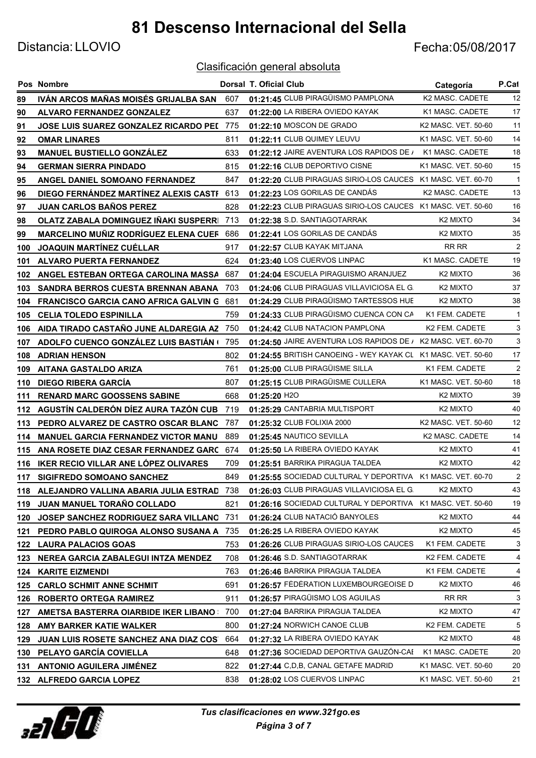Distancia: LLOVIO Fecha:05/08/2017

|     | Pos Nombre                                   |     | <b>Dorsal T. Oficial Club</b>                                | Categoría            | P.Cat          |
|-----|----------------------------------------------|-----|--------------------------------------------------------------|----------------------|----------------|
| 89  | IVÁN ARCOS MAÑAS MOISÉS GRIJALBA SAN         | 607 | 01:21:45 CLUB PIRAGÜISMO PAMPLONA                            | K2 MASC. CADETE      | 12             |
| 90  | <b>ALVARO FERNANDEZ GONZALEZ</b>             | 637 | 01:22:00 LA RIBERA OVIEDO KAYAK                              | K1 MASC. CADETE      | 17             |
| 91  | <b>JOSE LUIS SUAREZ GONZALEZ RICARDO PEI</b> | 775 | 01:22:10 MOSCON DE GRADO                                     | K2 MASC. VET. 50-60  | 11             |
| 92  | <b>OMAR LINARES</b>                          | 811 | 01:22:11 CLUB QUIMEY LEUVU                                   | K1 MASC. VET. 50-60  | 14             |
| 93  | <b>MANUEL BUSTIELLO GONZALEZ</b>             | 633 | 01:22:12 JAIRE AVENTURA LOS RAPIDOS DE /                     | K1 MASC. CADETE      | 18             |
| 94  | <b>GERMAN SIERRA PINDADO</b>                 | 815 | 01:22:16 CLUB DEPORTIVO CISNE                                | K1 MASC. VET. 50-60  | 15             |
| 95  | ANGEL DANIEL SOMOANO FERNANDEZ               | 847 | 01:22:20 CLUB PIRAGUAS SIRIO-LOS CAUCES K1 MASC. VET. 60-70  |                      | $\mathbf{1}$   |
| 96  | DIEGO FERNÁNDEZ MARTÍNEZ ALEXIS CASTF        | 613 | 01:22:23 LOS GORILAS DE CANDÁS                               | K2 MASC. CADETE      | 13             |
| 97  | <b>JUAN CARLOS BAÑOS PEREZ</b>               | 828 | 01:22:23 CLUB PIRAGUAS SIRIO-LOS CAUCES K1 MASC. VET. 50-60  |                      | 16             |
| 98  | OLATZ ZABALA DOMINGUEZ IÑAKI SUSPERRI        | 713 | 01:22:38 S.D. SANTIAGOTARRAK                                 | K <sub>2</sub> MIXTO | 34             |
| 99  | <b>MARCELINO MUÑIZ RODRÍGUEZ ELENA CUEF</b>  | 686 | 01:22:41 LOS GORILAS DE CANDÁS                               | K2 MIXTO             | 35             |
| 100 | <b>JOAQUIN MARTINEZ CUELLAR</b>              | 917 | 01:22:57 CLUB KAYAK MITJANA                                  | RR RR                | $\overline{c}$ |
| 101 | <b>ALVARO PUERTA FERNANDEZ</b>               | 624 | 01:23:40 LOS CUERVOS LINPAC                                  | K1 MASC. CADETE      | 19             |
| 102 | ANGEL ESTEBAN ORTEGA CAROLINA MASSA          | 687 | 01:24:04 ESCUELA PIRAGUISMO ARANJUEZ                         | K <sub>2</sub> MIXTO | 36             |
| 103 | <b>SANDRA BERROS CUESTA BRENNAN ABANA</b>    | 703 | 01:24:06 CLUB PIRAGUAS VILLAVICIOSA EL G.                    | K <sub>2</sub> MIXTO | 37             |
| 104 | <b>FRANCISCO GARCIA CANO AFRICA GALVIN G</b> | 681 | 01:24:29 CLUB PIRAGÜISMO TARTESSOS HUE                       | K <sub>2</sub> MIXTO | 38             |
| 105 | <b>CELIA TOLEDO ESPINILLA</b>                | 759 | 01:24:33 CLUB PIRAGÜISMO CUENCA CON CA                       | K1 FEM. CADETE       | $\mathbf{1}$   |
| 106 | AIDA TIRADO CASTAÑO JUNE ALDAREGIA AZ        | 750 | 01:24:42 CLUB NATACION PAMPLONA                              | K2 FEM. CADETE       | 3              |
| 107 | ADOLFO CUENCO GONZÁLEZ LUIS BASTIÁN (        | 795 | 01:24:50 JAIRE AVENTURA LOS RAPIDOS DE / K2 MASC. VET. 60-70 |                      | 3              |
| 108 | <b>ADRIAN HENSON</b>                         | 802 | 01:24:55 BRITISH CANOEING - WEY KAYAK CL K1 MASC. VET. 50-60 |                      | 17             |
| 109 | AITANA GASTALDO ARIZA                        | 761 | 01:25:00 CLUB PIRAGÜISME SILLA                               | K1 FEM. CADETE       | $\overline{2}$ |
| 110 | <b>DIEGO RIBERA GARCÍA</b>                   | 807 | 01:25:15 CLUB PIRAGÜISME CULLERA                             | K1 MASC. VET. 50-60  | 18             |
| 111 | <b>RENARD MARC GOOSSENS SABINE</b>           | 668 | $01:25:20$ H <sub>2O</sub>                                   | K <sub>2</sub> MIXTO | 39             |
| 112 | AGUSTÍN CALDERÓN DÍEZ AURA TAZÓN CUB         | 719 | 01:25:29 CANTABRIA MULTISPORT                                | K <sub>2</sub> MIXTO | 40             |
| 113 | PEDRO ALVAREZ DE CASTRO OSCAR BLANC          | 787 | 01:25:32 CLUB FOLIXIA 2000                                   | K2 MASC. VET. 50-60  | 12             |
| 114 | <b>MANUEL GARCIA FERNANDEZ VICTOR MANU</b>   | 889 | 01:25:45 NAUTICO SEVILLA                                     | K2 MASC. CADETE      | 14             |
| 115 | ANA ROSETE DIAZ CESAR FERNANDEZ GARC         | 674 | 01:25:50 LA RIBERA OVIEDO KAYAK                              | K <sub>2</sub> MIXTO | 41             |
| 116 | IKER RECIO VILLAR ANE LÓPEZ OLIVARES         | 709 | 01:25:51 BARRIKA PIRAGUA TALDEA                              | K <sub>2</sub> MIXTO | 42             |
| 117 | <b>SIGIFREDO SOMOANO SANCHEZ</b>             | 849 | 01:25:55 SOCIEDAD CULTURAL Y DEPORTIVA K1 MASC. VET. 60-70   |                      | 2              |
|     | 118 ALEJANDRO VALLINA ABARIA JULIA ESTRAD    | 738 | 01:26:03 CLUB PIRAGUAS VILLAVICIOSA EL G.                    | K <sub>2</sub> MIXTO | 43             |
| 119 | JUAN MANUEL TORAÑO COLLADO                   | 821 | 01:26:16 SOCIEDAD CULTURAL Y DEPORTIVA K1 MASC. VET. 50-60   |                      | 19             |
| 120 | <b>JOSEP SANCHEZ RODRIGUEZ SARA VILLANO</b>  | 731 | 01:26:24 CLUB NATACIÓ BANYOLES                               | K <sub>2</sub> MIXTO | 44             |
| 121 | PEDRO PABLO QUIROGA ALONSO SUSANA A          | 735 | 01:26:25 LA RIBERA OVIEDO KAYAK                              | K <sub>2</sub> MIXTO | 45             |
| 122 | <b>LAURA PALACIOS GOAS</b>                   | 753 | 01:26:26 CLUB PIRAGUAS SIRIO-LOS CAUCES                      | K1 FEM. CADETE       | 3              |
| 123 | NEREA GARCIA ZABALEGUI INTZA MENDEZ          | 708 | 01:26:46 S.D. SANTIAGOTARRAK                                 | K2 FEM. CADETE       | 4              |
| 124 | <b>KARITE EIZMENDI</b>                       | 763 | 01:26:46 BARRIKA PIRAGUA TALDEA                              | K1 FEM. CADETE       | 4              |
| 125 | <b>CARLO SCHMIT ANNE SCHMIT</b>              | 691 | 01:26:57 FÉDÉRATION LUXEMBOURGEOISE D                        | K2 MIXTO             | 46             |
| 126 | <b>ROBERTO ORTEGA RAMIREZ</b>                | 911 | 01:26:57 PIRAGÜISMO LOS AGUILAS                              | RR RR                | 3              |
| 127 | AMETSA BASTERRA OIARBIDE IKER LIBANO !       | 700 | 01:27:04 BARRIKA PIRAGUA TALDEA                              | K <sub>2</sub> MIXTO | 47             |
| 128 | <b>AMY BARKER KATIE WALKER</b>               | 800 | 01:27:24 NORWICH CANOE CLUB                                  | K2 FEM. CADETE       | 5              |
| 129 | JUAN LUIS ROSETE SANCHEZ ANA DIAZ COST       | 664 | 01:27:32 LA RIBERA OVIEDO KAYAK                              | K <sub>2</sub> MIXTO | 48             |
| 130 | PELAYO GARCÍA COVIELLA                       | 648 | 01:27:36 SOCIEDAD DEPORTIVA GAUZÓN-CAE                       | K1 MASC. CADETE      | 20             |
| 131 | <b>ANTONIO AGUILERA JIMÉNEZ</b>              | 822 | 01:27:44 C,D,B, CANAL GETAFE MADRID                          | K1 MASC. VET. 50-60  | 20             |
|     | 132 ALFREDO GARCIA LOPEZ                     | 838 | 01:28:02 LOS CUERVOS LINPAC                                  | K1 MASC. VET. 50-60  | 21             |

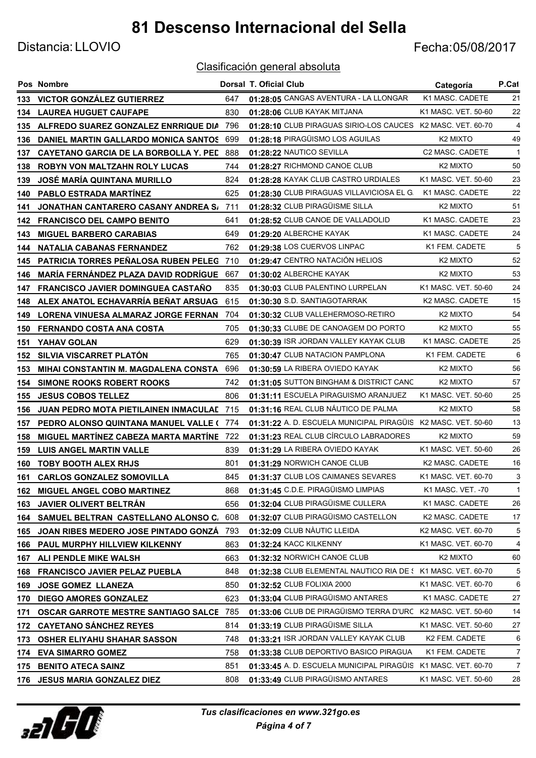Distancia: LLOVIO Fecha:05/08/2017

|       | Pos Nombre                                     |     | <b>Dorsal T. Oficial Club</b>                                 | Categoría            | P.Cat          |
|-------|------------------------------------------------|-----|---------------------------------------------------------------|----------------------|----------------|
| 133 - | <b>VICTOR GONZALEZ GUTIERREZ</b>               | 647 | 01:28:05 CANGAS AVENTURA - LA LLONGAR                         | K1 MASC. CADETE      | 21             |
| 134   | <b>LAUREA HUGUET CAUFAPE</b>                   | 830 | 01:28:06 CLUB KAYAK MITJANA                                   | K1 MASC. VET. 50-60  | 22             |
|       | 135 ALFREDO SUAREZ GONZALEZ ENRRIQUE DIA       | 796 | 01:28:10 CLUB PIRAGUAS SIRIO-LOS CAUCES K2 MASC. VET. 60-70   |                      | $\overline{4}$ |
| 136   | DANIEL MARTIN GALLARDO MONICA SANTOS           | 699 | 01:28:18 PIRAGÜISMO LOS AGUILAS                               | K <sub>2</sub> MIXTO | 49             |
| 137   | CAYETANO GARCIA DE LA BORBOLLA Y. PED          | 888 | 01:28:22 NAUTICO SEVILLA                                      | C2 MASC. CADETE      | $\mathbf{1}$   |
| 138   | <b>ROBYN VON MALTZAHN ROLY LUCAS</b>           | 744 | 01:28:27 RICHMOND CANOE CLUB                                  | K <sub>2</sub> MIXTO | 50             |
| 139   | <b>JOSÉ MARÍA QUINTANA MURILLO</b>             | 824 | 01:28:28 KAYAK CLUB CASTRO URDIALES                           | K1 MASC, VET, 50-60  | 23             |
| 140   | <b>PABLO ESTRADA MARTINEZ</b>                  | 625 | 01:28:30 CLUB PIRAGUAS VILLAVICIOSA EL G.                     | K1 MASC, CADETE      | 22             |
| 141   | JONATHAN CANTARERO CASANY ANDREA S/            | 711 | 01:28:32 CLUB PIRAGÜISME SILLA                                | K <sub>2</sub> MIXTO | 51             |
| 142.  | <b>FRANCISCO DEL CAMPO BENITO</b>              | 641 | 01:28:52 CLUB CANOE DE VALLADOLID                             | K1 MASC. CADETE      | 23             |
| 143   | <b>MIGUEL BARBERO CARABIAS</b>                 | 649 | 01:29:20 ALBERCHE KAYAK                                       | K1 MASC, CADETE      | 24             |
| 144   | NATALIA CABANAS FERNANDEZ                      | 762 | 01:29:38 LOS CUERVOS LINPAC                                   | K1 FEM. CADETE       | 5              |
| 145   | PATRICIA TORRES PEÑALOSA RUBEN PELEG           | 710 | 01:29:47 CENTRO NATACIÓN HELIOS                               | K <sub>2</sub> MIXTO | 52             |
| 146   | <b>MARÍA FERNÁNDEZ PLAZA DAVID RODRÍGUE</b>    | 667 | 01:30:02 ALBERCHE KAYAK                                       | K <sub>2</sub> MIXTO | 53             |
| 147   | <b>FRANCISCO JAVIER DOMINGUEA CASTAÑO</b>      | 835 | 01:30:03 CLUB PALENTINO LURPELAN                              | K1 MASC, VET, 50-60  | 24             |
| 148   | ALEX ANATOL ECHAVARRÍA BEÑAT ARSUAG            | 615 | 01:30:30 S.D. SANTIAGOTARRAK                                  | K2 MASC. CADETE      | 15             |
| 149.  | <b>LORENA VINUESA ALMARAZ JORGE FERNAN</b>     | 704 | 01:30:32 CLUB VALLEHERMOSO-RETIRO                             | K <sub>2</sub> MIXTO | 54             |
| 150   | <b>FERNANDO COSTA ANA COSTA</b>                | 705 | 01:30:33 CLUBE DE CANOAGEM DO PORTO                           | K <sub>2</sub> MIXTO | 55             |
| 151   | YAHAV GOLAN                                    | 629 | 01:30:39 ISR JORDAN VALLEY KAYAK CLUB                         | K1 MASC. CADETE      | 25             |
| 152   | <b>SILVIA VISCARRET PLATON</b>                 | 765 | 01:30:47 CLUB NATACION PAMPLONA                               | K1 FEM. CADETE       | 6              |
| 153   | MIHAI CONSTANTIN M. MAGDALENA CONSTA           | 696 | 01:30:59 LA RIBERA OVIEDO KAYAK                               | K <sub>2</sub> MIXTO | 56             |
| 154   | <b>SIMONE ROOKS ROBERT ROOKS</b>               | 742 | 01:31:05 SUTTON BINGHAM & DISTRICT CANC                       | K <sub>2</sub> MIXTO | 57             |
| 155   | <b>JESUS COBOS TELLEZ</b>                      | 806 | 01:31:11 ESCUELA PIRAGUISMO ARANJUEZ                          | K1 MASC. VET. 50-60  | 25             |
| 156   | <b>JUAN PEDRO MOTA PIETILAINEN INMACULAE</b>   | 715 | 01:31:16 REAL CLUB NÁUTICO DE PALMA                           | K <sub>2</sub> MIXTO | 58             |
| 157   | PEDRO ALONSO QUINTANA MANUEL VALLE (           | 774 | 01:31:22 A. D. ESCUELA MUNICIPAL PIRAGÜIS K2 MASC. VET. 50-60 |                      | 13             |
| 158   | MIGUEL MARTÍNEZ CABEZA MARTA MARTÍNE 722       |     | 01:31:23 REAL CLUB CÍRCULO LABRADORES                         | K <sub>2</sub> MIXTO | 59             |
| 159   | <b>LUIS ANGEL MARTIN VALLE</b>                 | 839 | 01:31:29 LA RIBERA OVIEDO KAYAK                               | K1 MASC. VET. 50-60  | 26             |
| 160   | <b>TOBY BOOTH ALEX RHJS</b>                    | 801 | 01:31:29 NORWICH CANOE CLUB                                   | K2 MASC. CADETE      | 16             |
| 161   | <b>CARLOS GONZALEZ SOMOVILLA</b>               | 845 | 01:31:37 CLUB LOS CAIMANES SEVARES                            | K1 MASC, VET, 60-70  | 3              |
| 162   | <b>MIGUEL ANGEL COBO MARTINEZ</b>              | 868 | 01:31:45 C.D.E. PIRAGÜISMO LIMPIAS                            | K1 MASC. VET. -70    | 1              |
| 163   | <b>JAVIER OLIVERT BELTRAN</b>                  | 656 | 01:32:04 CLUB PIRAGÜISME CULLERA                              | K1 MASC. CADETE      | 26             |
| 164   | SAMUEL BELTRAN CASTELLANO ALONSO C.            | 608 | 01:32:07 CLUB PIRAGÜISMO CASTELLON                            | K2 MASC. CADETE      | 17             |
| 165   | JOAN RIBES MEDERO JOSE PINTADO GONZÁ           | 793 | 01:32:09 CLUB NÀUTIC LLEIDA                                   | K2 MASC. VET. 60-70  | 5              |
| 166   | PAUL MURPHY HILLVIEW KILKENNY                  | 863 | 01:32:24 KACC KILKENNY                                        | K1 MASC. VET. 60-70  | 4              |
| 167   | ALI PENDLE MIKE WALSH                          | 663 | 01:32:32 NORWICH CANOE CLUB                                   | K <sub>2</sub> MIXTO | 60             |
| 168   | <b>FRANCISCO JAVIER PELAZ PUEBLA</b>           | 848 | 01:32:38 CLUB ELEMENTAL NAUTICO RIA DE : K1 MASC. VET. 60-70  |                      | 5              |
| 169   | <b>JOSE GOMEZ LLANEZA</b>                      | 850 | 01:32:52 CLUB FOLIXIA 2000                                    | K1 MASC. VET. 60-70  | 6              |
| 170   | <b>DIEGO AMORES GONZALEZ</b>                   | 623 | 01:33:04 CLUB PIRAGÜISMO ANTARES                              | K1 MASC. CADETE      | 27             |
| 171   | <b>OSCAR GARROTE MESTRE SANTIAGO SALCE 785</b> |     | 01:33:06 CLUB DE PIRAGÜISMO TERRA D'URC K2 MASC. VET. 50-60   |                      | 14             |
| 172   | <b>CAYETANO SANCHEZ REYES</b>                  | 814 | 01:33:19 CLUB PIRAGÜISME SILLA                                | K1 MASC. VET. 50-60  | 27             |
| 173   | <b>OSHER ELIYAHU SHAHAR SASSON</b>             | 748 | 01:33:21 ISR JORDAN VALLEY KAYAK CLUB                         | K2 FEM. CADETE       | 6              |
| 174   | <b>EVA SIMARRO GOMEZ</b>                       | 758 | 01:33:38 CLUB DEPORTIVO BASICO PIRAGUA                        | K1 FEM. CADETE       | 7              |
| 175   | <b>BENITO ATECA SAINZ</b>                      | 851 | 01:33:45 A. D. ESCUELA MUNICIPAL PIRAGÜIS K1 MASC. VET. 60-70 |                      | 7              |
|       | 176 JESUS MARIA GONZALEZ DIEZ                  | 808 | 01:33:49 CLUB PIRAGÜISMO ANTARES                              | K1 MASC. VET. 50-60  | 28             |

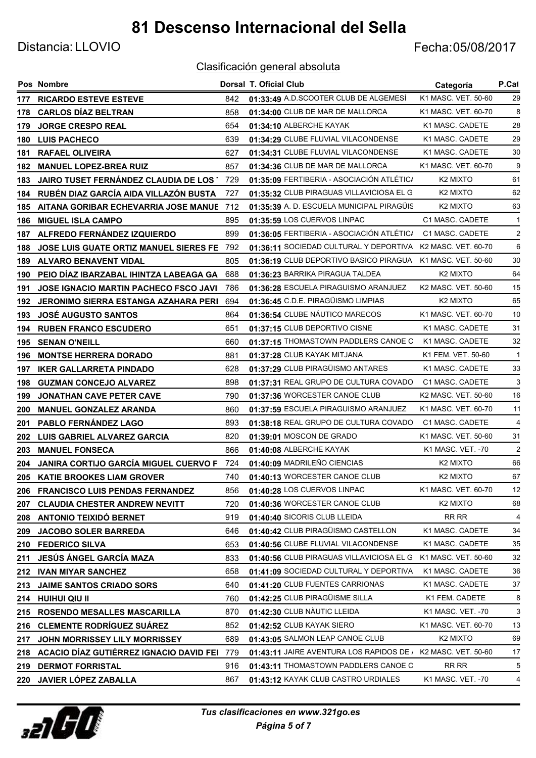Distancia: LLOVIO Fecha:05/08/2017

|     | Pos Nombre                                    |     | <b>Dorsal T. Oficial Club</b>                              | Categoría            | P.Cat          |
|-----|-----------------------------------------------|-----|------------------------------------------------------------|----------------------|----------------|
| 177 | <b>RICARDO ESTEVE ESTEVE</b>                  | 842 | 01:33:49 A.D.SCOOTER CLUB DE ALGEMESÍ                      | K1 MASC. VET. 50-60  | 29             |
| 178 | <b>CARLOS DÍAZ BELTRAN</b>                    | 858 | 01:34:00 CLUB DE MAR DE MALLORCA                           | K1 MASC. VET. 60-70  | 8              |
| 179 | <b>JORGE CRESPO REAL</b>                      | 654 | 01:34:10 ALBERCHE KAYAK                                    | K1 MASC, CADETE      | 28             |
| 180 | <b>LUIS PACHECO</b>                           | 639 | 01:34:29 CLUBE FLUVIAL VILACONDENSE                        | K1 MASC. CADETE      | 29             |
| 181 | <b>RAFAEL OLIVEIRA</b>                        | 627 | 01:34:31 CLUBE FLUVIAL VILACONDENSE                        | K1 MASC. CADETE      | 30             |
| 182 | <b>MANUEL LOPEZ-BREA RUIZ</b>                 | 857 | 01:34:36 CLUB DE MAR DE MALLORCA                           | K1 MASC. VET. 60-70  | 9              |
| 183 | JAIRO TUSET FERNÁNDEZ CLAUDIA DE LOS 1        | 729 | 01:35:09 FERTIBERIA - ASOCIACIÓN ATLÉTIC/                  | K <sub>2</sub> MIXTO | 61             |
| 184 | RUBÉN DIAZ GARCÍA AIDA VILLAZÓN BUSTA         | 727 | 01:35:32 CLUB PIRAGUAS VILLAVICIOSA EL G.                  | K <sub>2</sub> MIXTO | 62             |
| 185 | AITANA GORIBAR ECHEVARRIA JOSE MANUE          | 712 | 01:35:39 A. D. ESCUELA MUNICIPAL PIRAGÜIS                  | K <sub>2</sub> MIXTO | 63             |
| 186 | <b>MIGUEL ISLA CAMPO</b>                      | 895 | 01:35:59 LOS CUERVOS LINPAC                                | C1 MASC. CADETE      | $\mathbf{1}$   |
| 187 | ALFREDO FERNÁNDEZ IZQUIERDO                   | 899 | 01:36:05 FERTIBERIA - ASOCIACIÓN ATLÉTIC/                  | C1 MASC. CADETE      | 2              |
| 188 | <b>JOSE LUIS GUATE ORTIZ MANUEL SIERES FE</b> | 792 | 01:36:11 SOCIEDAD CULTURAL Y DEPORTIVA K2 MASC. VET. 60-70 |                      | 6              |
| 189 | <b>ALVARO BENAVENT VIDAL</b>                  | 805 | 01:36:19 CLUB DEPORTIVO BASICO PIRAGUA                     | K1 MASC. VET. 50-60  | 30             |
| 190 | PEIO DÍAZ IBARZABAL IHINTZA LABEAGA GA        | 688 | 01:36:23 BARRIKA PIRAGUA TALDEA                            | K <sub>2</sub> MIXTO | 64             |
| 191 | <b>JOSE IGNACIO MARTIN PACHECO FSCO JAVII</b> | 786 | 01:36:28 ESCUELA PIRAGUISMO ARANJUEZ                       | K2 MASC. VET. 50-60  | 15             |
| 192 | <b>JERONIMO SIERRA ESTANGA AZAHARA PERI</b>   | 694 | 01:36:45 C.D.E. PIRAGÜISMO LIMPIAS                         | K <sub>2</sub> MIXTO | 65             |
| 193 | <b>JOSÉ AUGUSTO SANTOS</b>                    | 864 | 01:36:54 CLUBE NÁUTICO MARECOS                             | K1 MASC, VET, 60-70  | 10             |
| 194 | <b>RUBEN FRANCO ESCUDERO</b>                  | 651 | 01:37:15 CLUB DEPORTIVO CISNE                              | K1 MASC. CADETE      | 31             |
| 195 | <b>SENAN O'NEILL</b>                          | 660 | 01:37:15 THOMASTOWN PADDLERS CANOE C                       | K1 MASC. CADETE      | 32             |
| 196 | <b>MONTSE HERRERA DORADO</b>                  | 881 | 01:37:28 CLUB KAYAK MITJANA                                | K1 FEM. VET. 50-60   | $\mathbf{1}$   |
| 197 | <b>IKER GALLARRETA PINDADO</b>                | 628 | 01:37:29 CLUB PIRAGÜISMO ANTARES                           | K1 MASC. CADETE      | 33             |
| 198 | <b>GUZMAN CONCEJO ALVAREZ</b>                 | 898 | 01:37:31 REAL GRUPO DE CULTURA COVADO                      | C1 MASC. CADETE      | 3              |
| 199 | <b>JONATHAN CAVE PETER CAVE</b>               | 790 | 01:37:36 WORCESTER CANOE CLUB                              | K2 MASC. VET. 50-60  | 16             |
| 200 | <b>MANUEL GONZALEZ ARANDA</b>                 | 860 | 01:37:59 ESCUELA PIRAGUISMO ARANJUEZ                       | K1 MASC. VET. 60-70  | 11             |
| 201 | PABLO FERNÁNDEZ LAGO                          | 893 | 01:38:18 REAL GRUPO DE CULTURA COVADO                      | C1 MASC. CADETE      | $\overline{4}$ |
| 202 | LUIS GABRIEL ALVAREZ GARCIA                   | 820 | 01:39:01 MOSCON DE GRADO                                   | K1 MASC. VET. 50-60  | 31             |
| 203 | <b>MANUEL FONSECA</b>                         | 866 | 01:40:08 ALBERCHE KAYAK                                    | K1 MASC. VET. -70    | $\overline{2}$ |
| 204 | JANIRA CORTIJO GARCÍA MIGUEL CUERVO FI        | 724 | 01:40:09 MADRILEÑO CIENCIAS                                | K <sub>2</sub> MIXTO | 66             |
| 205 | <b>KATIE BROOKES LIAM GROVER</b>              | 740 | 01:40:13 WORCESTER CANOE CLUB                              | K <sub>2</sub> MIXTO | 67             |
|     | 206 FRANCISCO LUIS PENDAS FERNANDEZ           | 856 | 01:40:28 LOS CUERVOS LINPAC                                | K1 MASC. VET. 60-70  | 12             |
| 207 | <b>CLAUDIA CHESTER ANDREW NEVITT</b>          | 720 | 01:40:36 WORCESTER CANOE CLUB                              | K <sub>2</sub> MIXTO | 68             |
|     | 208 ANTONIO TEIXIDÓ BERNET                    | 919 | 01:40:40 SICORIS CLUB LLEIDA                               | RR RR                | 4              |
| 209 | <b>JACOBO SOLER BARREDA</b>                   | 646 | 01:40:42 CLUB PIRAGÜISMO CASTELLON                         | K1 MASC. CADETE      | 34             |
| 210 | <b>FEDERICO SILVA</b>                         | 653 | 01:40:56 CLUBE FLUVIAL VILACONDENSE                        | K1 MASC. CADETE      | 35             |
| 211 | JESÚS ÁNGEL GARCÍA MAZA                       | 833 | 01:40:56 CLUB PIRAGUAS VILLAVICIOSA EL G.                  | K1 MASC. VET. 50-60  | 32             |
| 212 | <b>IVAN MIYAR SANCHEZ</b>                     | 658 | 01:41:09 SOCIEDAD CULTURAL Y DEPORTIVA                     | K1 MASC. CADETE      | 36             |
| 213 | <b>JAIME SANTOS CRIADO SORS</b>               | 640 | 01:41:20 CLUB FUENTES CARRIONAS                            | K1 MASC. CADETE      | 37             |
| 214 | HUIHUI QIU II                                 | 760 | 01:42:25 CLUB PIRAGÜISME SILLA                             | K1 FEM. CADETE       | 8              |
| 215 | ROSENDO MESALLES MASCARILLA                   | 870 | 01:42:30 CLUB NÀUTIC LLEIDA                                | K1 MASC. VET. -70    | 3              |
| 216 | <b>CLEMENTE RODRÍGUEZ SUÁREZ</b>              | 852 | 01:42:52 CLUB KAYAK SIERO                                  | K1 MASC. VET. 60-70  | 13             |
| 217 | JOHN MORRISSEY LILY MORRISSEY                 | 689 | 01:43:05 SALMON LEAP CANOE CLUB                            | K2 MIXTO             | 69             |
| 218 | ACACIO DÍAZ GUTIÉRREZ IGNACIO DAVID FEI       | 779 | 01:43:11 JAIRE AVENTURA LOS RAPIDOS DE /                   | K2 MASC. VET. 50-60  | 17             |
| 219 | <b>DERMOT FORRISTAL</b>                       | 916 | 01:43:11 THOMASTOWN PADDLERS CANOE C                       | RR RR                | 5              |
| 220 | JAVIER LÓPEZ ZABALLA                          | 867 | 01:43:12 KAYAK CLUB CASTRO URDIALES                        | K1 MASC. VET. -70    | 4              |

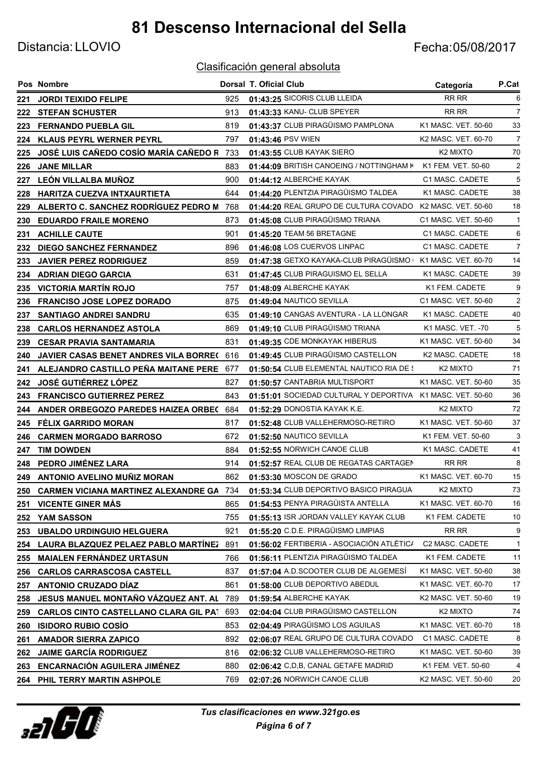Distancia: LLOVIO Fecha:05/08/2017

|      | Pos Nombre                                   |     | Dorsal T. Oficial Club                                     | Categoría            | P.Cat          |
|------|----------------------------------------------|-----|------------------------------------------------------------|----------------------|----------------|
| 221  | <b>JORDI TEIXIDO FELIPE</b>                  | 925 | 01:43:25 SICORIS CLUB LLEIDA                               | RR RR                | 6              |
| 222  | <b>STEFAN SCHUSTER</b>                       | 913 | 01:43:33 KANU- CLUB SPEYER                                 | RR RR                | $\overline{7}$ |
| 223  | <b>FERNANDO PUEBLA GIL</b>                   | 819 | 01:43:37 CLUB PIRAGÜISMO PAMPLONA                          | K1 MASC. VET. 50-60  | 33             |
| 224  | <b>KLAUS PEYRL WERNER PEYRL</b>              | 797 | 01:43:46 PSV WIEN                                          | K2 MASC. VET. 60-70  | 7              |
| 225  | JOSÉ LUIS CAÑEDO COSÍO MARÍA CAÑEDO R 733    |     | 01:43:55 CLUB KAYAK SIERO                                  | K <sub>2</sub> MIXTO | 70             |
| 226  | <b>JANE MILLAR</b>                           | 883 | 01:44:09 BRITISH CANOEING / NOTTINGHAM K                   | K1 FEM. VET. 50-60   | $\overline{2}$ |
| 227  | LEÓN VILLALBA MUÑOZ                          | 900 | 01:44:12 ALBERCHE KAYAK                                    | C1 MASC. CADETE      | 5              |
| 228  | HARITZA CUEZVA INTXAURTIETA                  | 644 | 01:44:20 PLENTZIA PIRAGÜISMO TALDEA                        | K1 MASC. CADETE      | 38             |
| 229  | ALBERTO C. SANCHEZ RODRÍGUEZ PEDRO M         | 768 | 01:44:20 REAL GRUPO DE CULTURA COVADO K2 MASC. VET. 50-60  |                      | 18             |
| 230  | <b>EDUARDO FRAILE MORENO</b>                 | 873 | 01:45:08 CLUB PIRAGÜISMO TRIANA                            | C1 MASC. VET. 50-60  | -1             |
| 231  | <b>ACHILLE CAUTE</b>                         | 901 | 01:45:20 TEAM 56 BRETAGNE                                  | C1 MASC. CADETE      | 6              |
| 232  | <b>DIEGO SANCHEZ FERNANDEZ</b>               | 896 | 01:46:08 LOS CUERVOS LINPAC                                | C1 MASC. CADETE      | 7              |
| 233  | <b>JAVIER PEREZ RODRIGUEZ</b>                | 859 | 01:47:38 GETXO KAYAKA-CLUB PIRAGÜISMO                      | K1 MASC, VET, 60-70  | 14             |
| 234  | <b>ADRIAN DIEGO GARCIA</b>                   | 631 | 01:47:45 CLUB PIRAGUISMO EL SELLA                          | K1 MASC. CADETE      | 39             |
| 235  | <b>VICTORIA MARTÍN ROJO</b>                  | 757 | 01:48:09 ALBERCHE KAYAK                                    | K1 FEM. CADETE       | 9              |
| 236  | <b>FRANCISO JOSE LOPEZ DORADO</b>            | 875 | 01:49:04 NAUTICO SEVILLA                                   | C1 MASC, VET, 50-60  | $\overline{2}$ |
| 237  | <b>SANTIAGO ANDREI SANDRU</b>                | 635 | 01:49:10 CANGAS AVENTURA - LA LLONGAR                      | K1 MASC, CADETE      | 40             |
| 238  | <b>CARLOS HERNANDEZ ASTOLA</b>               | 869 | 01:49:10 CLUB PIRAGÜISMO TRIANA                            | K1 MASC. VET. -70    | 5              |
| 239  | <b>CESAR PRAVIA SANTAMARIA</b>               | 831 | 01:49:35 CDE MONKAYAK HIBERUS                              | K1 MASC. VET. 50-60  | 34             |
| 240  | <b>JAVIER CASAS BENET ANDRES VILA BORRE(</b> | 616 | 01:49:45 CLUB PIRAGÜISMO CASTELLON                         | K2 MASC. CADETE      | 18             |
| 241  | ALEJANDRO CASTILLO PEÑA MAITANE PERE         | 677 | 01:50:54 CLUB ELEMENTAL NAUTICO RIA DE S                   | K <sub>2</sub> MIXTO | 71             |
| 242  | <b>JOSÉ GUTIÉRREZ LÓPEZ</b>                  | 827 | 01:50:57 CANTABRIA MULTISPORT                              | K1 MASC. VET. 50-60  | 35             |
| 243. | <b>FRANCISCO GUTIERREZ PEREZ</b>             | 843 | 01:51:01 SOCIEDAD CULTURAL Y DEPORTIVA K1 MASC. VET. 50-60 |                      | 36             |
| 244  | ANDER ORBEGOZO PAREDES HAIZEA ORBEC          | 684 | 01:52:29 DONOSTIA KAYAK K.E.                               | K <sub>2</sub> MIXTO | 72             |
| 245  | <b>FÉLIX GARRIDO MORAN</b>                   | 817 | 01:52:48 CLUB VALLEHERMOSO-RETIRO                          | K1 MASC. VET. 50-60  | 37             |
| 246  | <b>CARMEN MORGADO BARROSO</b>                | 672 | 01:52:50 NAUTICO SEVILLA                                   | K1 FEM. VET. 50-60   | 3              |
| 247  | <b>TIM DOWDEN</b>                            | 884 | 01:52:55 NORWICH CANOE CLUB                                | K1 MASC. CADETE      | 41             |
|      | 248 PEDRO JIMÉNEZ LARA                       | 914 | 01:52:57 REAL CLUB DE REGATAS CARTAGEN                     | RR RR                | 8              |
|      | 249 ANTONIO AVELINO MUÑIZ MORAN              | 862 | 01:53:30 MOSCON DE GRADO                                   | K1 MASC. VET. 60-70  | 15             |
| 250  | <b>CARMEN VICIANA MARTINEZ ALEXANDRE GA</b>  | 734 | 01:53:34 CLUB DEPORTIVO BASICO PIRAGUA                     | K <sub>2</sub> MIXTO | 73             |
| 251  | <b>VICENTE GINER MÁS</b>                     | 865 | 01:54:53 PENYA PIRAGÜISTA ANTELLA                          | K1 MASC. VET. 60-70  | 16             |
| 252  | YAM SASSON                                   | 755 | 01:55:13 ISR JORDAN VALLEY KAYAK CLUB                      | K1 FEM. CADETE       | 10             |
| 253  | <b>UBALDO URDINGUIO HELGUERA</b>             | 921 | 01:55:20 C.D.E. PIRAGÜISMO LIMPIAS                         | RR RR                | 9              |
| 254  | LAURA BLAZQUEZ PELAEZ PABLO MARTÍNEZ         | 891 | 01:56:02 FERTIBERIA - ASOCIACIÓN ATLÉTIC/                  | C2 MASC. CADETE      | $\mathbf{1}$   |
| 255  | <b>MAIALEN FERNÁNDEZ URTASUN</b>             | 766 | 01:56:11 PLENTZIA PIRAGÜISMO TALDEA                        | K1 FEM. CADETE       | 11             |
| 256  | <b>CARLOS CARRASCOSA CASTELL</b>             | 837 | 01:57:04 A.D.SCOOTER CLUB DE ALGEMESÍ                      | K1 MASC. VET. 50-60  | 38             |
| 257  | <b>ANTONIO CRUZADO DÍAZ</b>                  | 861 | 01:58:00 CLUB DEPORTIVO ABEDUL                             | K1 MASC. VET. 60-70  | 17             |
| 258  | JESUS MANUEL MONTAÑO VÁZQUEZ ANT. AL         | 789 | 01:59:54 ALBERCHE KAYAK                                    | K2 MASC. VET. 50-60  | 19             |
| 259  | <b>CARLOS CINTO CASTELLANO CLARA GIL PAT</b> | 693 | 02:04:04 CLUB PIRAGÜISMO CASTELLON                         | K <sub>2</sub> MIXTO | 74             |
| 260  | <b>ISIDORO RUBIO COSÍO</b>                   | 853 | 02:04:49 PIRAGÜISMO LOS AGUILAS                            | K1 MASC. VET. 60-70  | 18             |
| 261  | <b>AMADOR SIERRA ZAPICO</b>                  | 892 | 02:06:07 REAL GRUPO DE CULTURA COVADO                      | C1 MASC. CADETE      | 8              |
| 262  | <b>JAIME GARCÍA RODRIGUEZ</b>                | 816 | 02:06:32 CLUB VALLEHERMOSO-RETIRO                          | K1 MASC. VET. 50-60  | 39             |
| 263  | <b>ENCARNACIÓN AGUILERA JIMÉNEZ</b>          | 880 | 02:06:42 C,D,B, CANAL GETAFE MADRID                        | K1 FEM. VET. 50-60   | 4              |
| 264  | PHIL TERRY MARTIN ASHPOLE                    | 769 | 02:07:26 NORWICH CANOE CLUB                                | K2 MASC. VET. 50-60  | 20             |